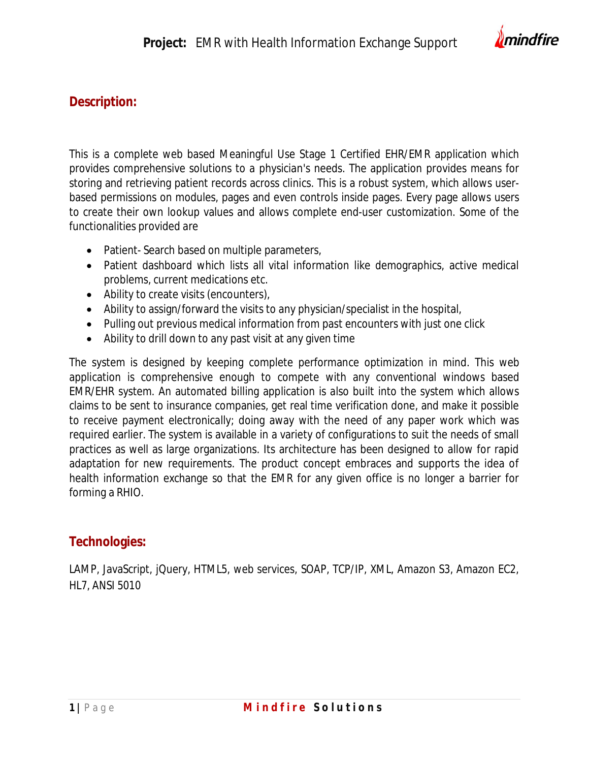

## **Description:**

This is a complete web based Meaningful Use Stage 1 Certified EHR/EMR application which provides comprehensive solutions to a physician's needs. The application provides means for storing and retrieving patient records across clinics. This is a robust system, which allows userbased permissions on modules, pages and even controls inside pages. Every page allows users to create their own lookup values and allows complete end-user customization. Some of the functionalities provided are

- Patient-Search based on multiple parameters,
- Patient dashboard which lists all vital information like demographics, active medical problems, current medications etc.
- Ability to create visits (encounters),
- Ability to assign/forward the visits to any physician/specialist in the hospital,
- Pulling out previous medical information from past encounters with just one click
- Ability to drill down to any past visit at any given time

The system is designed by keeping complete performance optimization in mind. This web application is comprehensive enough to compete with any conventional windows based EMR/EHR system. An automated billing application is also built into the system which allows claims to be sent to insurance companies, get real time verification done, and make it possible to receive payment electronically; doing away with the need of any paper work which was required earlier. The system is available in a variety of configurations to suit the needs of small practices as well as large organizations. Its architecture has been designed to allow for rapid adaptation for new requirements. The product concept embraces and supports the idea of health information exchange so that the EMR for any given office is no longer a barrier for forming a RHIO.

## **Technologies:**

LAMP, JavaScript, jQuery, HTML5, web services, SOAP, TCP/IP, XML, Amazon S3, Amazon EC2, HL7, ANSI 5010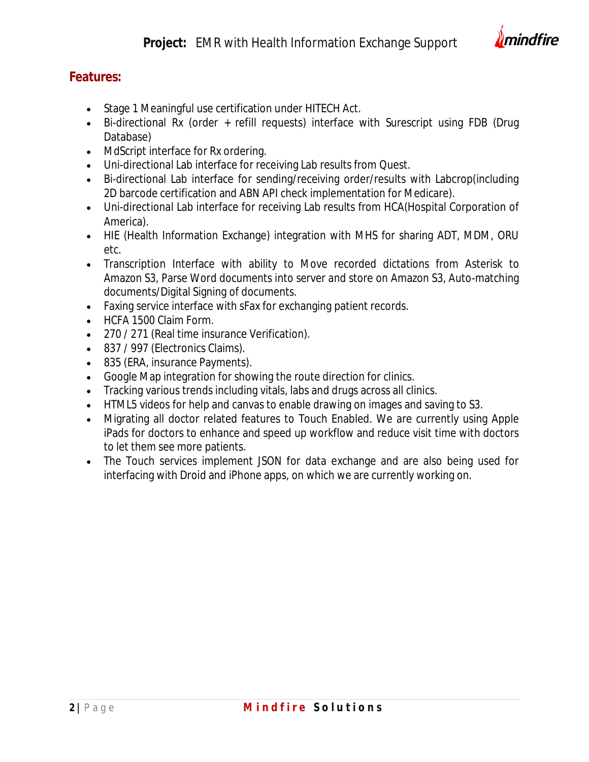

## **Features:**

- Stage 1 Meaningful use certification under HITECH Act.
- Bi-directional Rx (order + refill requests) interface with Surescript using FDB (Drug Database)
- MdScript interface for Rx ordering.
- Uni-directional Lab interface for receiving Lab results from Quest.
- Bi-directional Lab interface for sending/receiving order/results with Labcrop(including 2D barcode certification and ABN API check implementation for Medicare).
- Uni-directional Lab interface for receiving Lab results from HCA(Hospital Corporation of America).
- HIE (Health Information Exchange) integration with MHS for sharing ADT, MDM, ORU etc.
- Transcription Interface with ability to Move recorded dictations from Asterisk to Amazon S3, Parse Word documents into server and store on Amazon S3, Auto-matching documents/Digital Signing of documents.
- Faxing service interface with sFax for exchanging patient records.
- HCFA 1500 Claim Form.
- 270 / 271 (Real time insurance Verification).
- 837 / 997 (Electronics Claims).
- 835 (ERA, insurance Payments).
- Google Map integration for showing the route direction for clinics.
- Tracking various trends including vitals, labs and drugs across all clinics.
- HTML5 videos for help and canvas to enable drawing on images and saving to S3.
- Migrating all doctor related features to Touch Enabled. We are currently using Apple iPads for doctors to enhance and speed up workflow and reduce visit time with doctors to let them see more patients.
- The Touch services implement JSON for data exchange and are also being used for interfacing with Droid and iPhone apps, on which we are currently working on.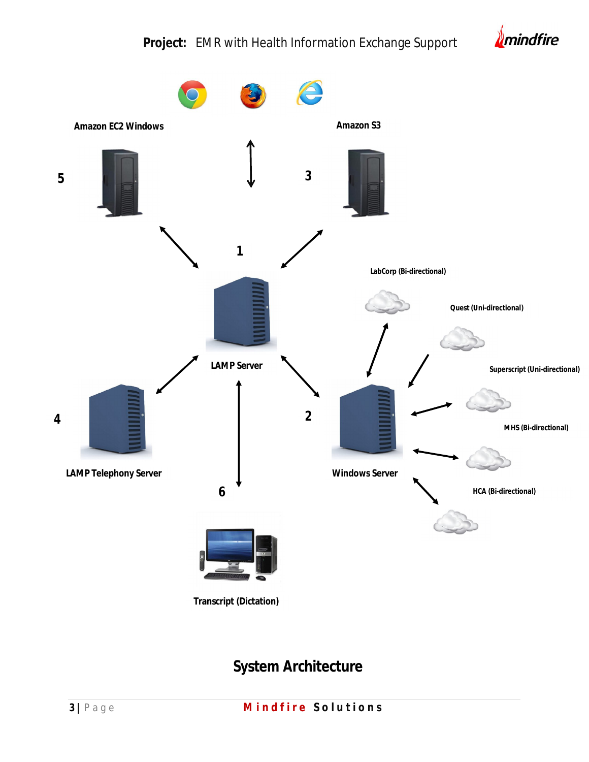## **Project:** EMR with Health Information Exchange Support





# **System Architecture**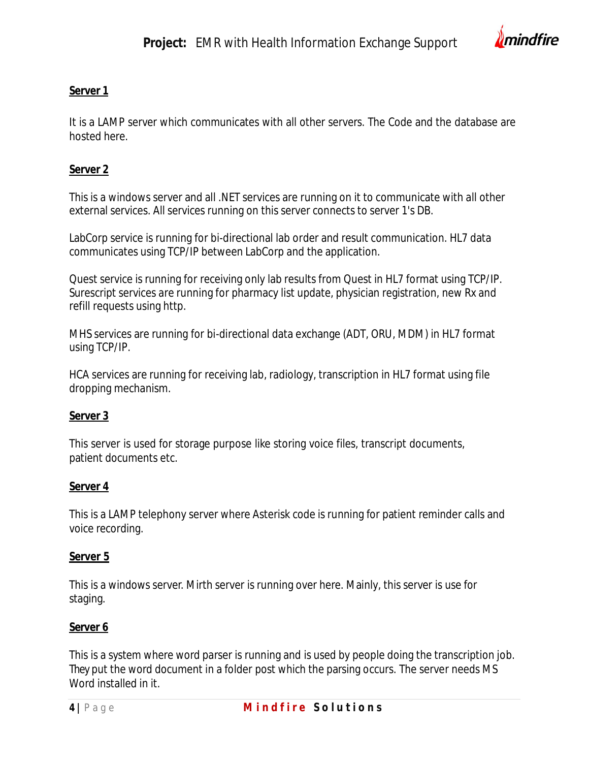

#### **Server 1**

It is a LAMP server which communicates with all other servers. The Code and the database are hosted here.

#### **Server 2**

This is a windows server and all .NET services are running on it to communicate with all other external services. All services running on this server connects to server 1's DB.

LabCorp service is running for bi-directional lab order and result communication. HL7 data communicates using TCP/IP between LabCorp and the application.

Quest service is running for receiving only lab results from Quest in HL7 format using TCP/IP. Surescript services are running for pharmacy list update, physician registration, new Rx and refill requests using http.

MHS services are running for bi-directional data exchange (ADT, ORU, MDM) in HL7 format using TCP/IP.

HCA services are running for receiving lab, radiology, transcription in HL7 format using file dropping mechanism.

#### **Server 3**

This server is used for storage purpose like storing voice files, transcript documents, patient documents etc.

#### **Server 4**

This is a LAMP telephony server where Asterisk code is running for patient reminder calls and voice recording.

#### **Server 5**

This is a windows server. Mirth server is running over here. Mainly, this server is use for staging.

## **Server 6**

This is a system where word parser is running and is used by people doing the transcription job. They put the word document in a folder post which the parsing occurs. The server needs MS Word installed in it.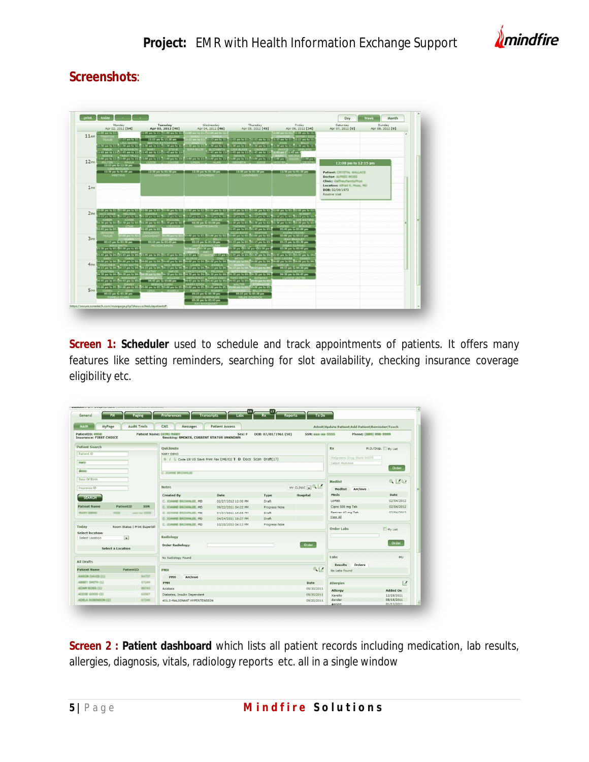

## **Screenshots**:

|                  | Monday<br>Apr 02, 2012 [54]                         | Tuesday<br>Apr 03, 2012 [40]                                                                                                                                                                                                                             | Wednesday<br>Apr 04, 2012 [46]                               | Thursday<br>Apr 05, 2012 [45]                                                                     | Friday<br>Apr 06, 2012 [34]                                                                              | Saturday<br>Apr 07, 2012 [0]                             | Sunday<br>Apr 08, 2012 [0] |
|------------------|-----------------------------------------------------|----------------------------------------------------------------------------------------------------------------------------------------------------------------------------------------------------------------------------------------------------------|--------------------------------------------------------------|---------------------------------------------------------------------------------------------------|----------------------------------------------------------------------------------------------------------|----------------------------------------------------------|----------------------------|
|                  | 11:00 am to 11:3                                    | 11:00 am to 11: 11:00 am to 11: 11:00 am to 11:711:00 am to 11:2                                                                                                                                                                                         |                                                              |                                                                                                   | 11:00 am to 11:11:00 am to 11:1                                                                          |                                                          |                            |
| 11 <sub>AM</sub> | <b>TRENTON</b><br>TRAU<br>$11:15$ am to $11:1$      | DWIGHT WILLIAM<br>11:15 am to 11:30 am                                                                                                                                                                                                                   |                                                              |                                                                                                   | 1:15 am to 11:11:15 am to 11:11:15 am to 11:21:15 am to 11:21:15 am to 11:21:15 am to 11:21:15 am to 11: |                                                          |                            |
|                  | LISA SHIPPY                                         | <b>BERTHA RATCHFORD</b>                                                                                                                                                                                                                                  | <b>JEFFREY</b>                                               | DOUGLAS ELIZABETH JOHN BILLY                                                                      |                                                                                                          |                                                          |                            |
|                  |                                                     | 11:30 am to 11:411:30 am to 11:411:30 am to 11:41:130 am to 11:41:130 am to 11:411:30 am to 12:411:30 am to 11:411:30 am to 11:411:30 am to 11:41:11:30 am to 11:41:11:30 am to 11:41:11:30 am to 11:41:11:30 am to 11:41:11:3<br>STEVENSON MARY . STEVE |                                                              | GINA ELLIS ELIZABETH LISA BLAKE . CHINEAT . JANICE . GARLAND                                      |                                                                                                          |                                                          |                            |
|                  | <b>SONVA THE TRENT TRINK!</b>                       | 11:45 am to 12:011:45 am to 12:011:45 am to 12:011:45 am to 12:0<br>FRED NANNIE                                                                                                                                                                          | <b>CELENA</b>                                                | 11:45 am to 12:011:45 am to 12:011:45 am to 12:011:45 am t <sup>1</sup> 11:45 am t<br>newers were | <b>MARWIN MALTN</b>                                                                                      |                                                          |                            |
|                  |                                                     | 12:00 pm to 12:112:00 pm to 12:112:00 pm to 12:112:00 pm to 12:112:00 pm to 12:112:00 pm to 12:112:00 pm to 12:112:00 pm to 12:112:00 pm to 12:112:00 pm to 12:112:00 pm to 12:112:00 pm to 12:112:00 pm to 12:112:00 pm to 12                           |                                                              |                                                                                                   | 12:00 pm t<br><b>DEXON</b>                                                                               |                                                          |                            |
| 12 <sub>PH</sub> | 12:15 pm to 12:30 pm                                | MILTON , PAULA   LIZZIE LOUISE                                                                                                                                                                                                                           | LINDA ALAN L KENNETH                                         |                                                                                                   | <b>CRYSTA</b>                                                                                            | 12:00 pm to 12:15 pm                                     |                            |
|                  | <b>LISA MOCLAS</b>                                  |                                                                                                                                                                                                                                                          |                                                              |                                                                                                   |                                                                                                          |                                                          |                            |
|                  | 12:30 pm to 01:00 pm<br><b>MEETING</b>              | LUNCHEON III                                                                                                                                                                                                                                             | <b>LUNCHEON</b>                                              | LUNCHEON III                                                                                      | LUNCHEON                                                                                                 | <b>Patient: CRYSTAL WALLACE</b>                          |                            |
|                  |                                                     |                                                                                                                                                                                                                                                          |                                                              |                                                                                                   |                                                                                                          | <b>Doctor: ALFRED MOSS</b><br>Clinic: GalfneyFamilyPhys. |                            |
|                  |                                                     |                                                                                                                                                                                                                                                          |                                                              |                                                                                                   |                                                                                                          | Location: Alfred R. Moss, MD                             |                            |
| 1 <sub>PH</sub>  |                                                     |                                                                                                                                                                                                                                                          |                                                              |                                                                                                   |                                                                                                          | DOB: 02/09/1973                                          |                            |
|                  |                                                     |                                                                                                                                                                                                                                                          |                                                              |                                                                                                   |                                                                                                          | Routine Visit                                            |                            |
|                  |                                                     |                                                                                                                                                                                                                                                          |                                                              |                                                                                                   |                                                                                                          |                                                          |                            |
|                  |                                                     |                                                                                                                                                                                                                                                          |                                                              |                                                                                                   |                                                                                                          |                                                          |                            |
|                  |                                                     | 02:00 pm to 02:502:00 pm to 02:502:00 pm to 02:502:00 pm to 02:502:00 pm to 02:502:00 pm to 02:502:00 pm to 02:502:00 pm to 02:102:00 pm to 02:102:00 pm to 02:102:00 pm to 02:102:00 pm to 02:00 pm to 02:00 pm to 02:00 pm t                           |                                                              |                                                                                                   |                                                                                                          |                                                          |                            |
| 2 <sub>PI4</sub> |                                                     | ACK HOWE. MELTSSA SANDRA . BETTY<br>.<br>2:15 pm to 03:15 pm to 03:15 pm to 03:15 pm to 03:15 pm to 03:15 pm to 03:15 pm to 03:15 pm to 03:15 pm to 03:15 pm to 03:15 pm to 03:15 pm to 03:15 pm to 03:15 pm to 03:                                      | SARAH , CHARLES                                              | NORMA CLAUDE OTIS . ROBERT                                                                        |                                                                                                          |                                                          |                            |
|                  |                                                     | 02:30 pm to 03:402:30 pm to 02:402:30 pm to 02:402:30 pm to 02:4 02:30 pm to 03:00 pm                                                                                                                                                                    | MICHAEL DOROTHY . SHELBY                                     | <b>THETA</b><br><b>WALTER</b>                                                                     | 2:30 pm to 02:402:30 pm to 02:402:30 pm to 02:402:30 pm to 02:                                           |                                                          |                            |
|                  | <b>BRENDA</b><br>UTHA I                             | <b>COMMENT</b><br>VIRGINIA                                                                                                                                                                                                                               | NANETTE DAVIS                                                | THOMAS STEDHANTE                                                                                  | CANDES -<br><b>EDNALD</b>                                                                                |                                                          |                            |
|                  | 2:45 pm to 03:<br><b>JENNIFER</b>                   | 12:45 pm to 03:                                                                                                                                                                                                                                          |                                                              | 12:45 pm to 03:002:45 pm to 03:0<br>ULIA SHAW , MARTHA                                            | 02:45 pm to 03:00 pm<br><b>ANDRE CROSBY</b>                                                              |                                                          |                            |
| 3 <sub>PH</sub>  | <b>TRAUB</b>                                        | SHALDNDA (SAALDNDA 1999) 10LLA SHAW (MATHA)<br>1999 To 2010 00 pm to 2010 00 pm to 2010 pm to 2010 00 pm to 2010 00 pm to 2010 00 pm to 2010 00 pm to 2010                                                                                               |                                                              |                                                                                                   | 03:00 pm to 03:15 pm<br><b>TEAN BRADER</b>                                                               |                                                          |                            |
|                  |                                                     | 03:15 pm to 03:30 pm 1 03:15 pm to 03:45 pm                                                                                                                                                                                                              | BETTY . BILLY<br>03:15 pm to 03:30 pm                        | 3:15 pm to 03:203:15 pm to 03:2                                                                   | 03:15 pm to 03:30 pm                                                                                     |                                                          |                            |
|                  | <b>MTNO SMITH</b><br>3:30 pm to 03:403:30 pm to 03: | <b>FELICIA DAVIS</b>                                                                                                                                                                                                                                     | <b>JANIE BURKHOLDER</b><br>1:30 pm t <sup>2</sup> 03:30 pm t | 13:30 pm CD3:30 pm t D3:30 pm t                                                                   | <b>DESAA GAFFNEY</b><br>03:30 pm to 03:45 pm                                                             |                                                          |                            |
|                  | KEVIN TINNIE WRA                                    |                                                                                                                                                                                                                                                          |                                                              | AIMEE .REBECCA APRIL                                                                              | ANGELA MARTIN                                                                                            |                                                          |                            |
|                  |                                                     | 3:45 pm to 04:03:45 pm to 04:03:45 pm to 04:03:45 pm to 04:03:45 pm to 04:03:45 pm t gTANEO20345 pm to 04:03:45 pm to 04:03:45 pm to 04:03:45 pm to 04:03:45 pm to 04:03:45                                                                              | <b>GLORIA</b><br>CARL                                        |                                                                                                   | <b>IDV LANTER</b>                                                                                        |                                                          |                            |
| 4 <sub>PL</sub>  |                                                     | i:00 pm to 04:304:00 pm to 04:304:00 pm to 04:304:00 pm to 04:304:00 pm to 04:304:00 pm to 04:3                                                                                                                                                          | <b>LAURA</b>                                                 |                                                                                                   | 100 pm to 06:304:00 pm to 04:304:00 pm to 04:304:00 pm to 04:                                            |                                                          |                            |
|                  | 4:15 pm to 04:204:15 pm to 04:2                     | PAULINE P. EVAN WATTS   ALVSSA . GAIL BRIGHT<br>04:15 pm to 04:204:15 pm to 04:204:15 pm to 04:204:15 pm to 04:2                                                                                                                                         |                                                              | 4:15 pm to 04:704:15 pm to                                                                        | CLARY THE<br>04:15 pm to 04:30 pm                                                                        |                                                          |                            |
|                  |                                                     | <b>JARVIS</b><br>06.30 pm to 04:04:30 pm to 04: 06:30 pm to 04:000 pm to 04:04:30 pm to 04:04:30 pm to 04:04:30 pm to 04:04:30 pm to 04:04:30 pm to 04:04:30 pm to 04:04:04                                                                              | CHRISTOPHER FRITSHA                                          |                                                                                                   | <b>JOHN DETTI</b>                                                                                        |                                                          |                            |
|                  |                                                     | WILLIAM                                                                                                                                                                                                                                                  | DENNIS BAY . CHRIS CODY                                      | TONY PETTY , BARBARA                                                                              |                                                                                                          |                                                          |                            |
|                  |                                                     | 4:45 pm to 05:04:45 pm to 05:0   04:45 pm to 05:00 pm    D4:45 pm to 05:04:45 pm to 05:04:45 pm to 05:0004:45 pm to 05:00083 pm to 0                                                                                                                     | HARRY COOK TONYA                                             | <b>WALTER</b>                                                                                     |                                                                                                          |                                                          |                            |
| <b>SPM</b>       |                                                     | LARRY DANNY BANNY MEENDA CLARK<br>1.00 pm to 05:105.00 pm to 05:205.00 pm to 05:1                                                                                                                                                                        | 05:00 pm to 05:105:00 pm to 05:1                             | 5:00 pm to 05:105:00 pm to 05:                                                                    |                                                                                                          |                                                          |                            |
|                  | 05:15 pm to 05:30 pm                                | KAREN JOHN I LENA . ANGELA                                                                                                                                                                                                                               | RANDY ROBERT                                                 | <b>BILLIE GILL</b><br>05:15 pm to 05:30 pm 1 05:15 pm to 05:30 pm                                 |                                                                                                          |                                                          |                            |
|                  | <b>PAMELA CLARK</b>                                 |                                                                                                                                                                                                                                                          | CINDY HUMPHRIES HELEN SCHENC<br>05:30 pm to 05:45 pm         |                                                                                                   |                                                                                                          |                                                          |                            |

**Screen 1: Scheduler** used to schedule and track appointments of patients. It offers many features like setting reminders, searching for slot availability, checking insurance coverage eligibility etc.

| General                                           | Paging                        | <b>Preferences</b>                                                        | <b>Transcripts</b><br>Labs |                      | To Do<br><b>Reports</b> |                                                 |                    |
|---------------------------------------------------|-------------------------------|---------------------------------------------------------------------------|----------------------------|----------------------|-------------------------|-------------------------------------------------|--------------------|
| <b>MAIN</b><br><b>MyPage</b>                      | <b>Audit Trails</b>           | CMS<br>Messages                                                           | <b>Patient Access</b>      |                      |                         | Admit Update Patient Add Patient Reminder Touch |                    |
| PatientID: #958<br><b>Insurance: FIRST CHOICE</b> |                               | <b>Patient Name: BEND HARY</b><br>Smoking: SMOKER, CURRENT STATUS UNKNOWN | Sex: F                     | DOB: 07/01/1961 (50) | SSN: www-ww-5555        | Phone: (889) 998-9999                           |                    |
| <b>Patient Search</b>                             |                               | Quicknote                                                                 |                            |                      |                         | Rx                                              | M.O./Disp. My List |
| Patient ID                                        |                               | MARY DEMO                                                                 |                            |                      |                         |                                                 |                    |
|                                                   |                               | B / Code UN VS Save Print Fax DME/02 T D Docs Scan Draft(17)              |                            |                      |                         | Walgreens Drug Store 04379                      |                    |
| mary                                              |                               |                                                                           |                            |                      |                         | Select Medicine                                 |                    |
| demo                                              |                               | C. JOANNE BROWNLEE                                                        |                            |                      |                         |                                                 | <b>Order</b>       |
|                                                   |                               |                                                                           |                            |                      |                         |                                                 |                    |
| Date Of Birth                                     |                               |                                                                           |                            |                      |                         | Medlist                                         | <b>Q 区位</b>        |
| Insurance ID                                      |                               | <b>Notes</b>                                                              |                            |                      | MY CLINIC O             | <b>Medlist</b><br>Archive                       |                    |
| <b>SEARCH</b>                                     |                               | Created By                                                                | Date                       | Type                 | Hospital                | <b>Meds</b>                                     | Date               |
|                                                   |                               | C. JOANNE BROWNLEE, ND                                                    | 02/27/2012 12:00 PM        | <b>Draft</b>         |                         | Lortab                                          | 02/04/2012         |
| <b>Patient Name</b>                               | PatientID<br><b>SSN</b>       | C. JOANNE BROWNLEE, ND                                                    | 09/22/2011 04:22 PM        | Progress Note        |                         | Cipro 500 mg Tab                                | 02/04/2012         |
| <b>HARY DENO</b><br>4958                          | MAN-MM-5555                   | C. JOANNE BROWNLEE, ND                                                    | 04/24/2011 10:55 PM        | Draft                |                         | Benicar 40 mg Tab                               | 02/04/2012         |
|                                                   |                               | C. JOANNE BROWNLEE, MD.                                                   | 04/24/2011 10:27 PM        | Draft                |                         | View All                                        |                    |
| Today                                             | Room Status   Print Superbill | C. JOANNE BROWNLEE, MD                                                    | 10/28/2010 04:13 PM        | Progress Note        |                         |                                                 |                    |
|                                                   |                               |                                                                           |                            |                      |                         | <b>Order Labs</b>                               | My List            |
| <b>Select location:</b><br>Select Location        | $\overline{\phantom{a}}$      | Radiology                                                                 |                            |                      |                         |                                                 |                    |
|                                                   |                               |                                                                           |                            |                      | Order                   |                                                 |                    |
| <b>Select a Location</b>                          |                               | Order Radiology:                                                          |                            |                      | Order                   |                                                 |                    |
|                                                   |                               |                                                                           |                            |                      |                         |                                                 |                    |
| <b>All Drafts</b>                                 |                               | No Radiology Found                                                        |                            |                      |                         | Labs                                            | MU                 |
|                                                   |                               |                                                                           |                            |                      |                         | <b>Results</b> Orders                           |                    |
| <b>Patient Name</b>                               | PatientID                     | <b>PMH</b>                                                                |                            |                      | e <sub>n</sub>          | No Labs Found                                   |                    |
| AARON DAVIS (1)                                   | 84737                         | Archive<br>PMH                                                            |                            |                      |                         |                                                 |                    |
| ABBEY SMITH (1)                                   | 67249                         | PMH                                                                       |                            |                      | <b>Date</b>             | <b>Allergies</b>                                | z                  |
| ADAM ROSS (1)                                     | 86743                         | Acidosis                                                                  |                            |                      | 09/30/2011              | Allergy                                         | Added On           |
| ADDIE GOOD (2)                                    | 62067                         | Diabetes, Insulin Dependent                                               |                            |                      | 09/30/2011              | Xarelto                                         | 12/28/2011         |
| ADELA ROBINSON (2)                                | 67240                         | 401.0-MALIGNANT HYPERTENSION                                              |                            |                      | 09/20/2011              | dander                                          | 08/18/2011         |

**Screen 2 : Patient dashboard** which lists all patient records including medication, lab results, allergies, diagnosis, vitals, radiology reports etc. all in a single window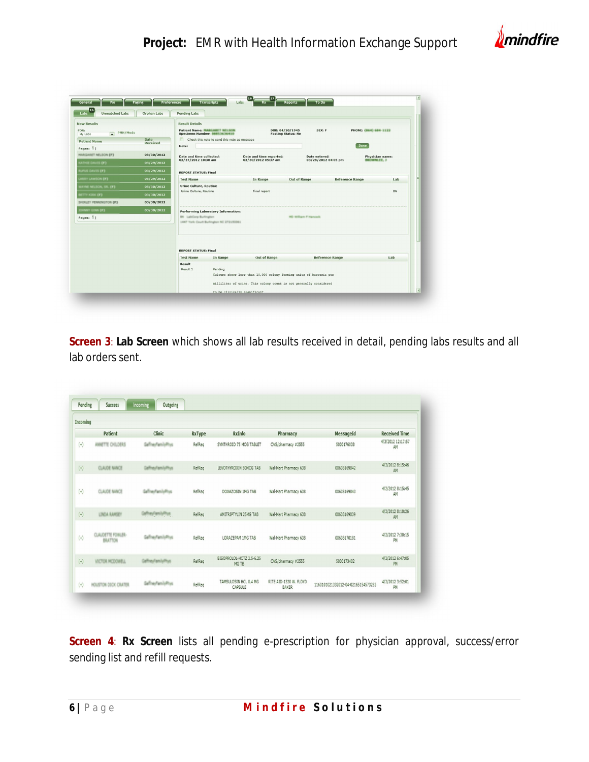

| <b>Unmatched Labs</b>                              | Orphan Labs             | <b>Pending Labs</b>                                                  |                                                     |                                                                     |                        |                             |     |  |  |  |
|----------------------------------------------------|-------------------------|----------------------------------------------------------------------|-----------------------------------------------------|---------------------------------------------------------------------|------------------------|-----------------------------|-----|--|--|--|
| <b>New Results</b>                                 |                         | <b>Result Details</b>                                                |                                                     |                                                                     |                        |                             |     |  |  |  |
| FOR:<br>PMH/Meds<br>$\vert \cdot \vert$<br>My Labs |                         | <b>Patient Name: MARCARET NELSON</b><br>Specimen Number: 00053636410 |                                                     | DOB: 04/20/1945<br><b>Fasting Status: No</b>                        | SEX: F                 | PHONE: (864) 684-1122       |     |  |  |  |
| <b>Patient Name</b>                                | Date<br><b>Received</b> |                                                                      | Check this note to send this note as message        |                                                                     |                        |                             |     |  |  |  |
| Pages: 1                                           |                         | Note:                                                                |                                                     |                                                                     |                        | Done                        |     |  |  |  |
| <b>HARGARET NELSON (F)</b>                         | 03/30/2012              | Date and time collected:                                             |                                                     | Date and time reported:                                             | Date entered:          | Physician name:             |     |  |  |  |
| GATHER DAVIS (F)                                   | 03/27/2012 10:38 am     |                                                                      | 03/30/2012 05:37 am                                 | 03/28/2012 04:05 pm                                                 |                        | <b><i>RACHARALES, 3</i></b> |     |  |  |  |
| UPUS DAVIS (F)                                     | 03/29/2012              | <b>REPORT STATUS: Final</b>                                          |                                                     |                                                                     |                        |                             |     |  |  |  |
| <b>ARRY LAWSON (F)</b>                             | 03/29/2012              | <b>Test Name</b>                                                     |                                                     | Out of Range<br>In Range                                            |                        | <b>Reference Range</b>      | Lab |  |  |  |
| LAYNE NELSON, SR. (F)                              | 03/30/2012              | <b>Urine Culture, Routine</b>                                        |                                                     |                                                                     |                        |                             |     |  |  |  |
| <b>ETTY KIRK (F)</b>                               | 03/30/2012              |                                                                      | <b>BN</b><br>Urine Culture, Routine<br>Final report |                                                                     |                        |                             |     |  |  |  |
| SHIRLEY PENNINGTON (F)                             | 03/30/2012              |                                                                      |                                                     |                                                                     |                        |                             |     |  |  |  |
| HANY GINN (F)                                      | 03/30/2012              |                                                                      | <b>Performing Laboratory Information:</b>           |                                                                     |                        |                             |     |  |  |  |
| Pages: 1                                           |                         | <b>Blk</b> LabCorp Burlington<br>MD William F Harvouk                |                                                     |                                                                     |                        |                             |     |  |  |  |
|                                                    |                         |                                                                      | 1447 Yark Court Burlington NC 272153341             |                                                                     |                        |                             |     |  |  |  |
|                                                    |                         |                                                                      |                                                     |                                                                     |                        |                             |     |  |  |  |
|                                                    |                         |                                                                      |                                                     |                                                                     |                        |                             |     |  |  |  |
|                                                    |                         | <b>REPORT STATUS: Final</b>                                          |                                                     |                                                                     |                        |                             |     |  |  |  |
|                                                    |                         | <b>Test Name</b>                                                     | In Range                                            | Out of Range                                                        | <b>Reference Range</b> |                             | Lab |  |  |  |
|                                                    |                         | Result                                                               |                                                     |                                                                     |                        |                             |     |  |  |  |
|                                                    |                         | Result 1                                                             | Pending                                             |                                                                     |                        |                             |     |  |  |  |
|                                                    |                         |                                                                      |                                                     | Culture shows less than 10,000 colony forming units of bacteria per |                        |                             |     |  |  |  |
|                                                    |                         |                                                                      |                                                     | milliliter of urine. This colony count is not generally considered  |                        |                             |     |  |  |  |
|                                                    |                         |                                                                      | to be clinically significant                        |                                                                     |                        |                             |     |  |  |  |

**Screen 3**: **Lab Screen** which shows all lab results received in detail, pending labs results and all lab orders sent.

| Incoming |                                |                      |               |                                   |                                        |                                    |                         |
|----------|--------------------------------|----------------------|---------------|-----------------------------------|----------------------------------------|------------------------------------|-------------------------|
|          | Patient                        | <b>Clinic</b>        | <b>RxType</b> | RxInfo                            | Pharmacy                               | MessageId                          | <b>Received Time</b>    |
| $(+)$    | <b><i>ANNETTE CHILDERS</i></b> | GallneyFamilyPhus    | RefReq        | SYNTHROID 75 NCG TABLET           | CVS/pharmacy #2555                     | 5000176038                         | 4/3/2012 12:17:57<br>AM |
| $(+)$    | <b>CLAUDE NANCE</b>            | GalfreyFamilyPhys    | RefReq        | LEVOTHYROXIN 50MCG TAB            | Wal-Mart Pharmacy 638                  | 00638169842                        | 4/2/2012 8:15:46<br>AM  |
| $(+)$    | <b>CLAUDE NANCE</b>            | Galline/FamilyRive   | RefReq        | DOXAZOSIN 1MG TAB                 | Wal-Mart Pharmacy 638                  | 00638169843                        | 4/2/2012 8:15:45<br>AM  |
| $(+)$    | LINDA RAMSEY                   | GallineyFamilyPhys   | RefReg        | AMITRIPTYLIN 25MG TAB             | Wal-Mart Pharmacy 638                  | 00638169839                        | 4/2/2012 8:10:26<br>AM  |
| $(+)$    | CLAUDETTE FOWLER-<br>BRATTON   | Call restambility    | RefReg        | LORAZEPAM 1MG TAB                 | Wal-Mart Pharmacy 638                  | 00638170181                        | 4/2/2012 7:30:15<br>PM  |
| $(+)$    | VICTOR MCDOWELL                | GalfræyFamilyPhys    | RefReq        | BISOPROLOL-HCTZ 2.5-6.25<br>MG TB | CVS/pharmacy #2555                     | 5000173402                         | 4/2/2012 6:47:05<br>PM  |
| $(+)$    | HOUSTON DICK CRATER            | Gallines/lamiluffous | RefReq        | TAMSULOSIN HCL 0.4 MG<br>CAPSULE  | RITE AID-1320 W. FLOYD<br><b>BAKER</b> | 1160101021332012-04-02165154573232 | 4/2/2012 3:52:01<br>PM  |

**Screen 4**: **Rx Screen** lists all pending e-prescription for physician approval, success/error sending list and refill requests.